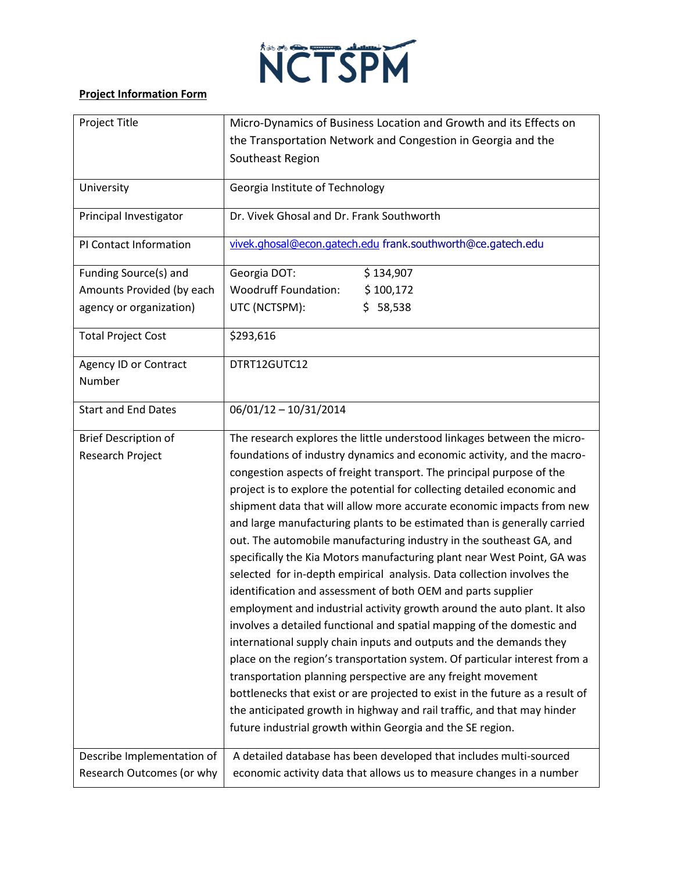

## **Project Information Form**

| Project Title                | Micro-Dynamics of Business Location and Growth and its Effects on                                                                      |
|------------------------------|----------------------------------------------------------------------------------------------------------------------------------------|
|                              | the Transportation Network and Congestion in Georgia and the                                                                           |
|                              | Southeast Region                                                                                                                       |
| University                   | Georgia Institute of Technology                                                                                                        |
| Principal Investigator       | Dr. Vivek Ghosal and Dr. Frank Southworth                                                                                              |
| PI Contact Information       | vivek.ghosal@econ.gatech.edu frank.southworth@ce.gatech.edu                                                                            |
| Funding Source(s) and        | Georgia DOT:<br>\$134,907                                                                                                              |
| Amounts Provided (by each    | <b>Woodruff Foundation:</b><br>\$100,172                                                                                               |
| agency or organization)      | \$58,538<br>UTC (NCTSPM):                                                                                                              |
| <b>Total Project Cost</b>    | \$293,616                                                                                                                              |
| <b>Agency ID or Contract</b> | DTRT12GUTC12                                                                                                                           |
| Number                       |                                                                                                                                        |
| <b>Start and End Dates</b>   | $06/01/12 - 10/31/2014$                                                                                                                |
| <b>Brief Description of</b>  | The research explores the little understood linkages between the micro-                                                                |
| Research Project             | foundations of industry dynamics and economic activity, and the macro-                                                                 |
|                              | congestion aspects of freight transport. The principal purpose of the                                                                  |
|                              | project is to explore the potential for collecting detailed economic and                                                               |
|                              | shipment data that will allow more accurate economic impacts from new                                                                  |
|                              | and large manufacturing plants to be estimated than is generally carried                                                               |
|                              | out. The automobile manufacturing industry in the southeast GA, and                                                                    |
|                              | specifically the Kia Motors manufacturing plant near West Point, GA was                                                                |
|                              | selected for in-depth empirical analysis. Data collection involves the<br>identification and assessment of both OEM and parts supplier |
|                              | employment and industrial activity growth around the auto plant. It also                                                               |
|                              | involves a detailed functional and spatial mapping of the domestic and                                                                 |
|                              | international supply chain inputs and outputs and the demands they                                                                     |
|                              | place on the region's transportation system. Of particular interest from a                                                             |
|                              | transportation planning perspective are any freight movement                                                                           |
|                              | bottlenecks that exist or are projected to exist in the future as a result of                                                          |
|                              | the anticipated growth in highway and rail traffic, and that may hinder                                                                |
|                              | future industrial growth within Georgia and the SE region.                                                                             |
| Describe Implementation of   | A detailed database has been developed that includes multi-sourced                                                                     |
| Research Outcomes (or why    | economic activity data that allows us to measure changes in a number                                                                   |